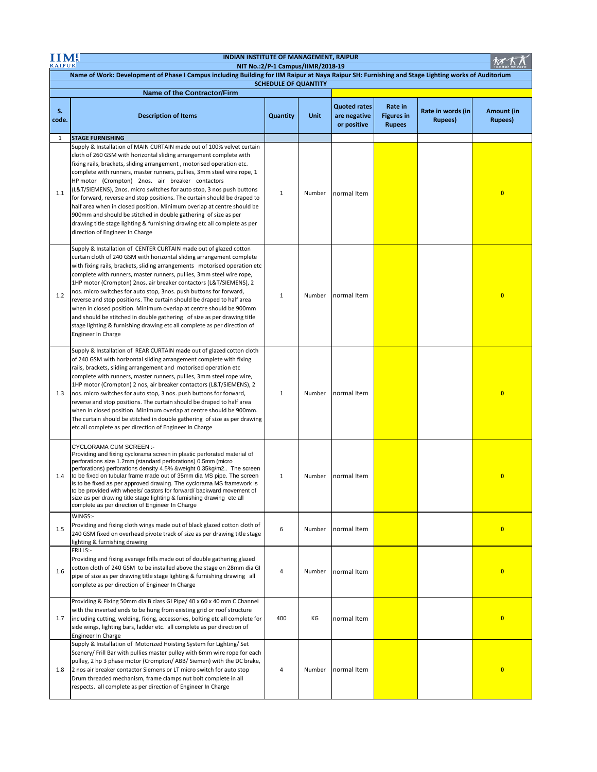| INDIAN INSTITUTE OF MANAGEMENT, RAIPUR                                                                                                                                            |                                                                                                                                                                                                                                                                                                                                                                                                                                                                                                                                                                                                                                                                                                                                                                         |              |             |                                                    |                                               |                                      |                               |  |
|-----------------------------------------------------------------------------------------------------------------------------------------------------------------------------------|-------------------------------------------------------------------------------------------------------------------------------------------------------------------------------------------------------------------------------------------------------------------------------------------------------------------------------------------------------------------------------------------------------------------------------------------------------------------------------------------------------------------------------------------------------------------------------------------------------------------------------------------------------------------------------------------------------------------------------------------------------------------------|--------------|-------------|----------------------------------------------------|-----------------------------------------------|--------------------------------------|-------------------------------|--|
| <b>RAIPUR</b><br>NIT No.:2/P-1 Campus/IIMR/2018-19                                                                                                                                |                                                                                                                                                                                                                                                                                                                                                                                                                                                                                                                                                                                                                                                                                                                                                                         |              |             |                                                    |                                               |                                      |                               |  |
| Name of Work: Development of Phase I Campus including Building for IIM Raipur at Naya Raipur SH: Furnishing and Stage Lighting works of Auditorium<br><b>SCHEDULE OF QUANTITY</b> |                                                                                                                                                                                                                                                                                                                                                                                                                                                                                                                                                                                                                                                                                                                                                                         |              |             |                                                    |                                               |                                      |                               |  |
| <b>Name of the Contractor/Firm</b>                                                                                                                                                |                                                                                                                                                                                                                                                                                                                                                                                                                                                                                                                                                                                                                                                                                                                                                                         |              |             |                                                    |                                               |                                      |                               |  |
| S.<br>code.                                                                                                                                                                       | <b>Description of Items</b>                                                                                                                                                                                                                                                                                                                                                                                                                                                                                                                                                                                                                                                                                                                                             | Quantity     | <b>Unit</b> | <b>Quoted rates</b><br>are negative<br>or positive | Rate in<br><b>Figures in</b><br><b>Rupees</b> | Rate in words (in<br><b>Rupees</b> ) | Amount (in<br><b>Rupees</b> ) |  |
| $\mathbf{1}$                                                                                                                                                                      | <b>STAGE FURNISHING</b>                                                                                                                                                                                                                                                                                                                                                                                                                                                                                                                                                                                                                                                                                                                                                 |              |             |                                                    |                                               |                                      |                               |  |
| 1.1                                                                                                                                                                               | Supply & Installation of MAIN CURTAIN made out of 100% velvet curtain<br>cloth of 260 GSM with horizontal sliding arrangement complete with<br>fixing rails, brackets, sliding arrangement, motorised operation etc.<br>complete with runners, master runners, pullies, 3mm steel wire rope, 1<br>HP motor (Crompton) 2nos. air breaker contactors<br>(L&T/SIEMENS), 2nos. micro switches for auto stop, 3 nos push buttons<br>for forward, reverse and stop positions. The curtain should be draped to<br>half area when in closed position. Minimum overlap at centre should be<br>900mm and should be stitched in double gathering of size as per<br>drawing title stage lighting & furnishing drawing etc all complete as per<br>direction of Engineer In Charge    | $\mathbf{1}$ | Number      | normal Item                                        |                                               |                                      | $\bf{0}$                      |  |
| 1.2                                                                                                                                                                               | Supply & Installation of CENTER CURTAIN made out of glazed cotton<br>curtain cloth of 240 GSM with horizontal sliding arrangement complete<br>with fixing rails, brackets, sliding arrangements motorised operation etc<br>complete with runners, master runners, pullies, 3mm steel wire rope,<br>1HP motor (Crompton) 2nos. air breaker contactors (L&T/SIEMENS), 2<br>nos. micro switches for auto stop, 3nos. push buttons for forward,<br>reverse and stop positions. The curtain should be draped to half area<br>when in closed position. Minimum overlap at centre should be 900mm<br>and should be stitched in double gathering of size as per drawing title<br>stage lighting & furnishing drawing etc all complete as per direction of<br>Engineer In Charge | $\mathbf{1}$ | Number      | normal Item                                        |                                               |                                      | $\bf{0}$                      |  |
| 1.3                                                                                                                                                                               | Supply & Installation of REAR CURTAIN made out of glazed cotton cloth<br>of 240 GSM with horizontal sliding arrangement complete with fixing<br>rails, brackets, sliding arrangement and motorised operation etc<br>complete with runners, master runners, pullies, 3mm steel rope wire,<br>1HP motor (Crompton) 2 nos, air breaker contactors (L&T/SIEMENS), 2<br>nos. micro switches for auto stop, 3 nos. push buttons for forward,<br>reverse and stop positions. The curtain should be draped to half area<br>when in closed position. Minimum overlap at centre should be 900mm.<br>The curtain should be stitched in double gathering of size as per drawing<br>etc all complete as per direction of Engineer In Charge                                          | 1            | Number      | normal Item                                        |                                               |                                      | $\overline{\mathbf{0}}$       |  |
| 1.4                                                                                                                                                                               | CYCLORAMA CUM SCREEN :-<br>Providing and fixing cyclorama screen in plastic perforated material of<br>perforations size 1.2mm (standard perforations) 0.5mm (micro<br>perforations) perforations density 4.5% &weight 0.35kg/m2 The screen<br>to be fixed on tubular frame made out of 35mm dia MS pipe. The screen<br>is to be fixed as per approved drawing. The cyclorama MS framework is<br>to be provided with wheels/ castors for forward/ backward movement of<br>size as per drawing title stage lighting & furnishing drawing etc all<br>complete as per direction of Engineer In Charge                                                                                                                                                                       | 1            | Number      | normal Item                                        |                                               |                                      | $\bf{0}$                      |  |
| 1.5                                                                                                                                                                               | WINGS:-<br>Providing and fixing cloth wings made out of black glazed cotton cloth of<br>240 GSM fixed on overhead pivote track of size as per drawing title stage<br>lighting & furnishing drawing                                                                                                                                                                                                                                                                                                                                                                                                                                                                                                                                                                      | 6            | Number      | normal Item                                        |                                               |                                      | $\bf{0}$                      |  |
| 1.6                                                                                                                                                                               | FRILLS:-<br>Providing and fixing average frills made out of double gathering glazed<br>cotton cloth of 240 GSM to be installed above the stage on 28mm dia GI<br>pipe of size as per drawing title stage lighting & furnishing drawing all<br>complete as per direction of Engineer In Charge                                                                                                                                                                                                                                                                                                                                                                                                                                                                           | 4            | Number      | normal Item                                        |                                               |                                      | $\bf{0}$                      |  |
| 1.7                                                                                                                                                                               | Providing & Fixing 50mm dia B class GI Pipe/ 40 x 60 x 40 mm C Channel<br>with the inverted ends to be hung from existing grid or roof structure<br>including cutting, welding, fixing, accessories, bolting etc all complete for<br>side wings, lighting bars, ladder etc. all complete as per direction of<br>Engineer In Charge                                                                                                                                                                                                                                                                                                                                                                                                                                      | 400          | KG          | normal Item                                        |                                               |                                      | $\bf{0}$                      |  |
| 1.8                                                                                                                                                                               | Supply & Installation of Motorized Hoisting System for Lighting/ Set<br>Scenery/ Frill Bar with pullies master pulley with 6mm wire rope for each<br>pulley, 2 hp 3 phase motor (Crompton/ABB/Siemen) with the DC brake,<br>2 nos air breaker contactor Siemens or LT micro switch for auto stop<br>Drum threaded mechanism, frame clamps nut bolt complete in all<br>respects. all complete as per direction of Engineer In Charge                                                                                                                                                                                                                                                                                                                                     | 4            | Number      | normal Item                                        |                                               |                                      | $\bf{0}$                      |  |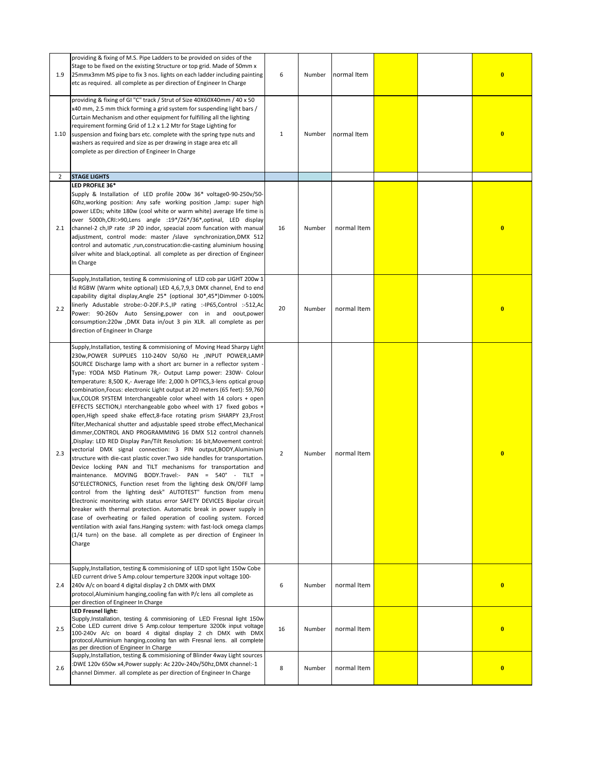| 1.9            | providing & fixing of M.S. Pipe Ladders to be provided on sides of the<br>Stage to be fixed on the existing Structure or top grid. Made of 50mm x<br>25mmx3mm MS pipe to fix 3 nos. lights on each ladder including painting<br>etc as required. all complete as per direction of Engineer In Charge                                                                                                                                                                                                                                                                                                                                                                                                                                                                                                                                                                                                                                                                                                                                                                                                                                                                                                                                                                                                                                                                                                                                                                                                                                                                                                                                                                                       | 6              | Number | normal Item |  | $\bf{0}$ |
|----------------|--------------------------------------------------------------------------------------------------------------------------------------------------------------------------------------------------------------------------------------------------------------------------------------------------------------------------------------------------------------------------------------------------------------------------------------------------------------------------------------------------------------------------------------------------------------------------------------------------------------------------------------------------------------------------------------------------------------------------------------------------------------------------------------------------------------------------------------------------------------------------------------------------------------------------------------------------------------------------------------------------------------------------------------------------------------------------------------------------------------------------------------------------------------------------------------------------------------------------------------------------------------------------------------------------------------------------------------------------------------------------------------------------------------------------------------------------------------------------------------------------------------------------------------------------------------------------------------------------------------------------------------------------------------------------------------------|----------------|--------|-------------|--|----------|
| 1.10           | providing & fixing of GI "C" track / Strut of Size 40X60X40mm / 40 x 50<br>x40 mm, 2.5 mm thick forming a grid system for suspending light bars /<br>Curtain Mechanism and other equipment for fulfilling all the lighting<br>requirement forming Grid of 1.2 x 1.2 Mtr for Stage Lighting for<br>suspension and fixing bars etc. complete with the spring type nuts and<br>washers as required and size as per drawing in stage area etc all<br>complete as per direction of Engineer In Charge                                                                                                                                                                                                                                                                                                                                                                                                                                                                                                                                                                                                                                                                                                                                                                                                                                                                                                                                                                                                                                                                                                                                                                                           | $\mathbf{1}$   | Number | normal Item |  | $\bf{0}$ |
| $\overline{2}$ | <b>STAGE LIGHTS</b>                                                                                                                                                                                                                                                                                                                                                                                                                                                                                                                                                                                                                                                                                                                                                                                                                                                                                                                                                                                                                                                                                                                                                                                                                                                                                                                                                                                                                                                                                                                                                                                                                                                                        |                |        |             |  |          |
| 2.1            | LED PROFILE 36*<br>Supply & Installation of LED profile 200w 36* voltage0-90-250v/50-<br>60hz, working position: Any safe working position , lamp: super high<br>power LEDs; white 180w (cool white or warm white) average life time is<br>over 5000h,CRI:>90,Lens angle :19*/26*/36*,optinal, LED display<br>channel-2 ch, IP rate : IP 20 indor, speacial zoom funcation with manual<br>adjustment, control mode: master /slave synchronization, DMX 512<br>control and automatic ,run,construcation:die-casting aluminium housing<br>silver white and black, optinal. all complete as per direction of Engineer<br>In Charge                                                                                                                                                                                                                                                                                                                                                                                                                                                                                                                                                                                                                                                                                                                                                                                                                                                                                                                                                                                                                                                            | 16             | Number | normal Item |  | $\bf{0}$ |
| 2.2            | Supply, Installation, testing & commisioning of LED cob par LIGHT 200w 1<br>ld RGBW (Warm white optional) LED 4,6,7,9,3 DMX channel, End to end<br>capability digital display, Angle 25* (optional 30*, 45*) Dimmer 0-100%<br>linerly Adustable strobe:-0-20F.P.S., IP rating :-IP65, Control :-512, Ac<br>Power: 90-260v Auto Sensing, power con in and oout, power<br>consumption:220w ,DMX Data in/out 3 pin XLR. all complete as per<br>direction of Engineer In Charge                                                                                                                                                                                                                                                                                                                                                                                                                                                                                                                                                                                                                                                                                                                                                                                                                                                                                                                                                                                                                                                                                                                                                                                                                | 20             | Number | normal Item |  | $\bf{0}$ |
| 2.3            | Supply, Installation, testing & commisioning of Moving Head Sharpy Light<br>230w, POWER SUPPLIES 110-240V 50/60 Hz , INPUT POWER, LAMP<br>SOURCE Discharge lamp with a short arc burner in a reflector system -<br>Type: YODA MSD Platinum 7R,- Output Lamp power: 230W- Colour<br>temperature: 8,500 K,- Average life: 2,000 h OPTICS, 3-lens optical group<br>combination, Focus: electronic Light output at 20 meters (65 feet): 59,760<br>lux, COLOR SYSTEM Interchangeable color wheel with 14 colors + open<br>EFFECTS SECTION,I nterchangeable gobo wheel with 17 fixed gobos +<br>open, High speed shake effect, 8-face rotating prism SHARPY 23, Frost<br>filter, Mechanical shutter and adjustable speed strobe effect, Mechanical<br>dimmer, CONTROL AND PROGRAMMING 16 DMX 512 control channels<br>Display: LED RED Display Pan/Tilt Resolution: 16 bit, Movement control:<br>vectorial DMX signal connection: 3 PIN output, BODY, Aluminium<br>structure with die-cast plastic cover. Two side handles for transportation.<br>Device locking PAN and TILT mechanisms for transportation and<br>maintenance. MOVING BODY.Travel:- PAN = 540° - TILT =<br>50°ELECTRONICS, Function reset from the lighting desk ON/OFF lamp<br>control from the lighting desk" AUTOTEST" function from menu<br>Electronic monitoring with status error SAFETY DEVICES Bipolar circuit<br>breaker with thermal protection. Automatic break in power supply in<br>case of overheating or failed operation of cooling system. Forced<br>ventilation with axial fans. Hanging system: with fast-lock omega clamps<br>(1/4 turn) on the base. all complete as per direction of Engineer In<br>Charge | $\overline{2}$ | Number | normal Item |  | $\bf{0}$ |
| 2.4            | Supply, Installation, testing & commisioning of LED spot light 150w Cobe<br>LED current drive 5 Amp.colour temperture 3200k input voltage 100-<br>240v A/c on board 4 digital display 2 ch DMX with DMX<br>protocol, Aluminium hanging, cooling fan with P/c lens all complete as<br>per direction of Engineer In Charge                                                                                                                                                                                                                                                                                                                                                                                                                                                                                                                                                                                                                                                                                                                                                                                                                                                                                                                                                                                                                                                                                                                                                                                                                                                                                                                                                                   | 6              | Number | normal Item |  | $\bf{0}$ |
| 2.5            | <b>LED Fresnel light:</b><br>Supply, Installation, testing & commisioning of LED Fresnal light 150w<br>Cobe LED current drive 5 Amp.colour temperture 3200k input voltage<br>100-240v A/c on board 4 digital display 2 ch DMX with DMX<br>protocol, Aluminium hanging, cooling fan with Fresnal lens. all complete<br>as per direction of Engineer In Charge                                                                                                                                                                                                                                                                                                                                                                                                                                                                                                                                                                                                                                                                                                                                                                                                                                                                                                                                                                                                                                                                                                                                                                                                                                                                                                                               | 16             | Number | normal Item |  | $\bf{0}$ |
| 2.6            | Supply, Installation, testing & commisioning of Blinder 4way Light sources<br>:DWE 120v 650w x4, Power supply: Ac 220v-240v/50hz, DMX channel:-1<br>channel Dimmer. all complete as per direction of Engineer In Charge                                                                                                                                                                                                                                                                                                                                                                                                                                                                                                                                                                                                                                                                                                                                                                                                                                                                                                                                                                                                                                                                                                                                                                                                                                                                                                                                                                                                                                                                    | 8              | Number | normal Item |  | $\bf{0}$ |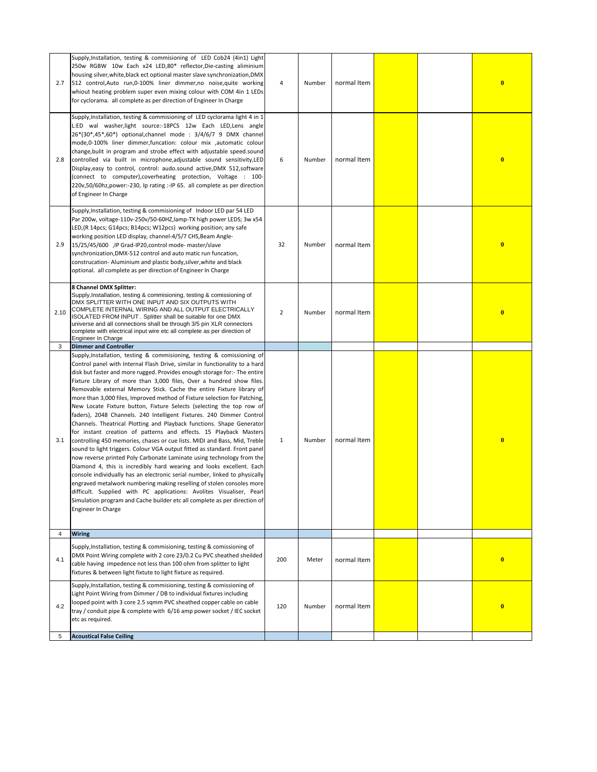|                | Supply, Installation, testing & commisioning of LED Cob24 (4in1) Light<br>250w RGBW 10w Each x24 LED,80* reflector,Die-casting aliminium<br>housing silver, white, black ect optional master slave synchronization, DMX                                                                                                                                                                                                                                                                                                                                                                                                                                                                                                                                                                                                                                                                                                                                                                                                                                                                                                                                                                                                                                                                                                                                                                                      |                |        |             |  |          |
|----------------|--------------------------------------------------------------------------------------------------------------------------------------------------------------------------------------------------------------------------------------------------------------------------------------------------------------------------------------------------------------------------------------------------------------------------------------------------------------------------------------------------------------------------------------------------------------------------------------------------------------------------------------------------------------------------------------------------------------------------------------------------------------------------------------------------------------------------------------------------------------------------------------------------------------------------------------------------------------------------------------------------------------------------------------------------------------------------------------------------------------------------------------------------------------------------------------------------------------------------------------------------------------------------------------------------------------------------------------------------------------------------------------------------------------|----------------|--------|-------------|--|----------|
| 2.7            | 512 control, Auto run, 0-100% liner dimmer, no noise, quite working<br>whiout heating problem super even mixing colour with COM 4in 1 LEDs<br>for cyclorama. all complete as per direction of Engineer In Charge                                                                                                                                                                                                                                                                                                                                                                                                                                                                                                                                                                                                                                                                                                                                                                                                                                                                                                                                                                                                                                                                                                                                                                                             | 4              | Number | normal Item |  | $\bf{0}$ |
| 2.8            | Supply, Installation, testing & commisioning of LED cyclorama light 4 in 1<br>L:ED wal washer,light source:-18PCS 12w Each LED,Lens angle<br>26*(30*,45*,60*) optional, channel mode : 3/4/6/7 9 DMX channel<br>mode,0-100% liner dimmer,funcation: colour mix ,automatic colour<br>change, bulit in program and strobe effect with adjustable speed.sound<br>controlled via built in microphone, adjustable sound sensitivity, LED<br>Display, easy to control, control: audo.sound active, DMX 512, software<br>(connect to computer), coverheating protection, Voltage : 100-<br>220v,50/60hz,power:-230, Ip rating :-IP 65. all complete as per direction<br>of Engineer In Charge                                                                                                                                                                                                                                                                                                                                                                                                                                                                                                                                                                                                                                                                                                                       | 6              | Number | normal Item |  | $\bf{0}$ |
| 2.9            | Supply, Installation, testing & commisioning of Indoor LED par 54 LED<br>Par 200w, voltage-110v-250v/50-60HZ, lamp-TX high power LEDS; 3w x54<br>LED, (R 14pcs; G14pcs; B14pcs; W12pcs) working position; any safe<br>working position LED display, channel-4/5/7 CHS, Beam Angle-<br>15/25/45/600 ,IP Grad-IP20,control mode- master/slave<br>synchronization, DMX-512 control and auto matic run funcation,<br>construcation-Aluminium and plastic body, silver, white and black<br>optional. all complete as per direction of Engineer In Charge                                                                                                                                                                                                                                                                                                                                                                                                                                                                                                                                                                                                                                                                                                                                                                                                                                                          | 32             | Number | normal Item |  | $\bf{0}$ |
| 2.10           | 8 Channel DMX Splitter:<br>Supply, Installation, testing & commisioning, testing & comissioning of<br>DMX SPLITTER WITH ONE INPUT AND SIX OUTPUTS WITH<br>COMPLETE INTERNAL WIRING AND ALL OUTPUT ELECTRICALLY<br>ISOLATED FROM INPUT. Splitter shall be suitable for one DMX<br>universe and all connections shall be through 3/5 pin XLR connectors<br>complete with electrical input wire etc all complete as per direction of<br>Engineer In Charge                                                                                                                                                                                                                                                                                                                                                                                                                                                                                                                                                                                                                                                                                                                                                                                                                                                                                                                                                      | $\overline{2}$ | Number | normal Item |  | $\bf{0}$ |
| 3              | <b>Dimmer and Controller</b>                                                                                                                                                                                                                                                                                                                                                                                                                                                                                                                                                                                                                                                                                                                                                                                                                                                                                                                                                                                                                                                                                                                                                                                                                                                                                                                                                                                 |                |        |             |  |          |
| 3.1            | Supply, Installation, testing & commisioning, testing & comissioning of<br>Control panel with Internal Flash Drive, similar in functionality to a hard<br>disk but faster and more rugged. Provides enough storage for:- The entire<br>Fixture Library of more than 3,000 files, Over a hundred show files.<br>Removable external Memory Stick. Cache the entire Fixture library of<br>more than 3,000 files, Improved method of Fixture selection for Patching,<br>New Locate Fixture button, Fixture Selects (selecting the top row of<br>faders), 2048 Channels. 240 Intelligent Fixtures. 240 Dimmer Control<br>Channels. Theatrical Plotting and Playback functions. Shape Generator<br>for instant creation of patterns and effects. 15 Playback Masters<br>controlling 450 memories, chases or cue lists. MIDI and Bass, Mid, Treble<br>sound to light triggers. Colour VGA output fitted as standard. Front panel<br>now reverse printed Poly Carbonate Laminate using technology from the<br>Diamond 4, this is incredibly hard wearing and looks excellent. Each<br>console individually has an electronic serial number, linked to physically<br>engraved metalwork numbering making reselling of stolen consoles more<br>difficult. Supplied with PC applications: Avolites Visualiser, Pearl<br>Simulation program and Cache builder etc all complete as per direction of<br>Engineer In Charge | $\mathbf{1}$   | Number | normal Item |  | $\bf{0}$ |
| $\overline{4}$ | <b>Wiring</b>                                                                                                                                                                                                                                                                                                                                                                                                                                                                                                                                                                                                                                                                                                                                                                                                                                                                                                                                                                                                                                                                                                                                                                                                                                                                                                                                                                                                |                |        |             |  |          |
| 4.1            | Supply, Installation, testing & commisioning, testing & comissioning of<br>DMX Point Wiring complete with 2 core 23/0.2 Cu PVC sheathed sheilded<br>cable having impedence not less than 100 ohm from splitter to light<br>fixtures & between light fixtute to light fixture as required.                                                                                                                                                                                                                                                                                                                                                                                                                                                                                                                                                                                                                                                                                                                                                                                                                                                                                                                                                                                                                                                                                                                    | 200            | Meter  | normal Item |  | $\bf{0}$ |
| 4.2            | Supply, Installation, testing & commisioning, testing & comissioning of<br>Light Point Wiring from Dimmer / DB to individual fixtures including<br>looped point with 3 core 2.5 sqmm PVC sheathed copper cable on cable<br>tray / conduit pipe & complete with 6/16 amp power socket / IEC socket<br>etc as required.                                                                                                                                                                                                                                                                                                                                                                                                                                                                                                                                                                                                                                                                                                                                                                                                                                                                                                                                                                                                                                                                                        | 120            | Number | normal Item |  | $\bf{0}$ |
| 5              | <b>Acoustical False Ceiling</b>                                                                                                                                                                                                                                                                                                                                                                                                                                                                                                                                                                                                                                                                                                                                                                                                                                                                                                                                                                                                                                                                                                                                                                                                                                                                                                                                                                              |                |        |             |  |          |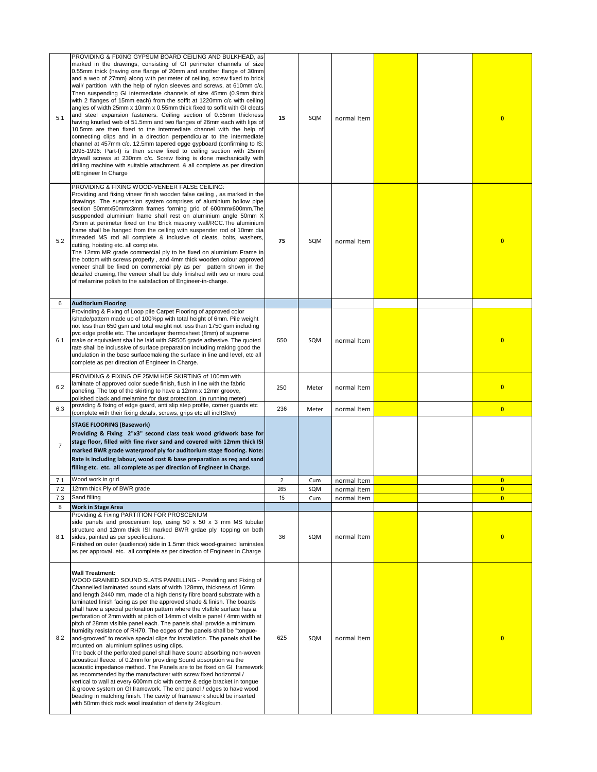| 5.1            | PROVIDING & FIXING GYPSUM BOARD CEILING AND BULKHEAD, as<br>marked in the drawings, consisting of GI perimeter channels of size<br>0.55mm thick (having one flange of 20mm and another flange of 30mm<br>and a web of 27mm) along with perimeter of ceiling, screw fixed to brick<br>wall/ partition with the help of nylon sleeves and screws, at 610mm c/c.<br>Then suspending GI intermediate channels of size 45mm (0.9mm thick<br>with 2 flanges of 15mm each) from the soffit at 1220mm c/c with ceiling<br>angles of width 25mm x 10mm x 0.55mm thick fixed to soffit with GI cleats<br>and steel expansion fasteners. Ceiling section of 0.55mm thickness<br>having knurled web of 51.5mm and two flanges of 26mm each with lips of<br>10.5mm are then fixed to the intermediate channel with the help of<br>connecting clips and in a direction perpendicular to the intermediate<br>channel at 457mm c/c. 12.5mm tapered egge gypboard (confirming to IS:<br>2095-1996: Part-I) is then screw fixed to ceiling section with 25mm<br>drywall screws at 230mm c/c. Screw fixing is done mechanically with<br>drilling machine with suitable attachment. & all complete as per direction<br>ofEngineer In Charge                                                                                                                        | 15  | SQM   | normal Item |  | $\bf{0}$                |
|----------------|------------------------------------------------------------------------------------------------------------------------------------------------------------------------------------------------------------------------------------------------------------------------------------------------------------------------------------------------------------------------------------------------------------------------------------------------------------------------------------------------------------------------------------------------------------------------------------------------------------------------------------------------------------------------------------------------------------------------------------------------------------------------------------------------------------------------------------------------------------------------------------------------------------------------------------------------------------------------------------------------------------------------------------------------------------------------------------------------------------------------------------------------------------------------------------------------------------------------------------------------------------------------------------------------------------------------------------------------|-----|-------|-------------|--|-------------------------|
| 5.2            | PROVIDING & FIXING WOOD-VENEER FALSE CEILING:<br>Providing and fixing vineer finish wooden false ceiling, as marked in the<br>drawings. The suspension system comprises of aluminium hollow pipe<br>section 50mmx50mmx3mm frames forming grid of 600mmx600mm.The<br>susppended aluminium frame shall rest on aluminium angle 50mm X<br>75mm at perimeter fixed on the Brick masonry wall/RCC. The aluminium<br>frame shall be hanged from the ceiling with suspender rod of 10mm dia<br>threaded MS rod all complete & inclusive of cleats, bolts, washers,<br>cutting, hoisting etc. all complete.<br>The 12mm MR grade commercial ply to be fixed on aluminium Frame in<br>the bottom with screws properly, and 4mm thick wooden colour approved<br>veneer shall be fixed on commercial ply as per pattern shown in the<br>detailed drawing, The veneer shall be duly finished with two or more coat<br>of melamine polish to the satisfaction of Engineer-in-charge.                                                                                                                                                                                                                                                                                                                                                                        | 75  | SQM   | normal Item |  | $\bf{0}$                |
| 6              | <b>Auditorium Flooring</b>                                                                                                                                                                                                                                                                                                                                                                                                                                                                                                                                                                                                                                                                                                                                                                                                                                                                                                                                                                                                                                                                                                                                                                                                                                                                                                                     |     |       |             |  |                         |
| 6.1            | Provinding & Fixing of Loop pile Carpet Flooring of approved color<br>/shade/pattern made up of 100%pp with total height of 6mm. Pile weight<br>not less than 650 gsm and total weight not less than 1750 gsm including<br>pvc edge profile etc. The underlayer thermosheet (8mm) of supreme<br>make or equivalent shall be laid with SR505 grade adhesive. The quoted<br>rate shall be inclussive of surface preparation including making good the<br>undulation in the base surfacemaking the surface in line and level, etc all<br>complete as per direction of Engineer In Charge.                                                                                                                                                                                                                                                                                                                                                                                                                                                                                                                                                                                                                                                                                                                                                         | 550 | SQM   | normal Item |  | $\bf{0}$                |
| 6.2            | PROVIDING & FIXING OF 25MM HDF SKIRTING of 100mm with<br>laminate of approved color suede finish, flush in line with the fabric<br>paneling. The top of the skirting to have a 12mm x 12mm groove,<br>polished black and melamine for dust protection. (in running meter)                                                                                                                                                                                                                                                                                                                                                                                                                                                                                                                                                                                                                                                                                                                                                                                                                                                                                                                                                                                                                                                                      | 250 | Meter | normal Item |  | $\bf{0}$                |
| 6.3            | providing & fixing of edge guard, anti slip step profile, corner guards etc<br>(complete with their fixing detals, screws, grips etc all inclISIve)                                                                                                                                                                                                                                                                                                                                                                                                                                                                                                                                                                                                                                                                                                                                                                                                                                                                                                                                                                                                                                                                                                                                                                                            | 236 | Meter | normal Item |  | $\mathbf{0}$            |
| $\overline{7}$ | <b>STAGE FLOORING (Basework)</b><br>Providing & Fixing 2"x3" second class teak wood gridwork base for<br>stage floor, filled with fine river sand and covered with 12mm thick ISI<br>marked BWR grade waterproof ply for auditorium stage flooring. Note:<br>Rate is including labour, wood cost & base preparation as reg and sand<br>filling etc. etc. all complete as per direction of Engineer In Charge.                                                                                                                                                                                                                                                                                                                                                                                                                                                                                                                                                                                                                                                                                                                                                                                                                                                                                                                                  |     |       |             |  |                         |
| 7.1            | Wood work in grid                                                                                                                                                                                                                                                                                                                                                                                                                                                                                                                                                                                                                                                                                                                                                                                                                                                                                                                                                                                                                                                                                                                                                                                                                                                                                                                              | 2   | Cum   | normal Item |  | $\bf{0}$                |
| 7.2            | 12mm thick Ply of BWR grade                                                                                                                                                                                                                                                                                                                                                                                                                                                                                                                                                                                                                                                                                                                                                                                                                                                                                                                                                                                                                                                                                                                                                                                                                                                                                                                    | 265 | SQM   | normal Item |  | $\bf{0}$                |
| 7.3            | Sand filling                                                                                                                                                                                                                                                                                                                                                                                                                                                                                                                                                                                                                                                                                                                                                                                                                                                                                                                                                                                                                                                                                                                                                                                                                                                                                                                                   | 15  | Cum   | normal Item |  | $\overline{\mathbf{0}}$ |
| 8<br>8.1       | <b>Work in Stage Area</b><br>Providing & Fixing PARTITION FOR PROSCENIUM<br>side panels and proscenium top, using $50 \times 50 \times 3$ mm MS tubular<br>structure and 12mm thick ISI marked BWR grdae ply topping on both<br>sides, painted as per specifications.<br>Finished on outer (audience) side in 1.5mm thick wood-grained laminates<br>as per approval. etc. all complete as per direction of Engineer In Charge                                                                                                                                                                                                                                                                                                                                                                                                                                                                                                                                                                                                                                                                                                                                                                                                                                                                                                                  | 36  | SQM   | normal Item |  | $\bf{0}$                |
| 8.2            | <b>Wall Treatment:</b><br>WOOD GRAINED SOUND SLATS PANELLING - Providing and Fixing of<br>Channelled laminated sound slats of width 128mm, thickness of 16mm<br>and length 2440 mm, made of a high density fibre board substrate with a<br>laminated finish facing as per the approved shade & finish. The boards<br>shall have a special perforation pattern where the visible surface has a<br>perforation of 2mm width at pitch of 14mm of vIsIble panel / 4mm width at<br>pitch of 28mm vIsIble panel each. The panels shall provide a minimum<br>humidity resistance of RH70. The edges of the panels shall be "tongue-<br>and-grooved" to receive special clips for installation. The panels shall be<br>mounted on aluminium splines using clips.<br>The back of the perforated panel shall have sound absorbing non-woven<br>acoustical fleece. of 0.2mm for providing Sound absorption via the<br>acoustic impedance method. The Panels are to be fixed on GI framework<br>as recommended by the manufacturer with screw fixed horizontal /<br>vertical to wall at every 600mm c/c with centre & edge bracket in tongue<br>& groove system on GI framework. The end panel / edges to have wood<br>beading in matching finish. The cavity of framework should be inserted<br>with 50mm thick rock wool insulation of density 24kg/cum. | 625 | SQM   | normal Item |  | $\bf{0}$                |